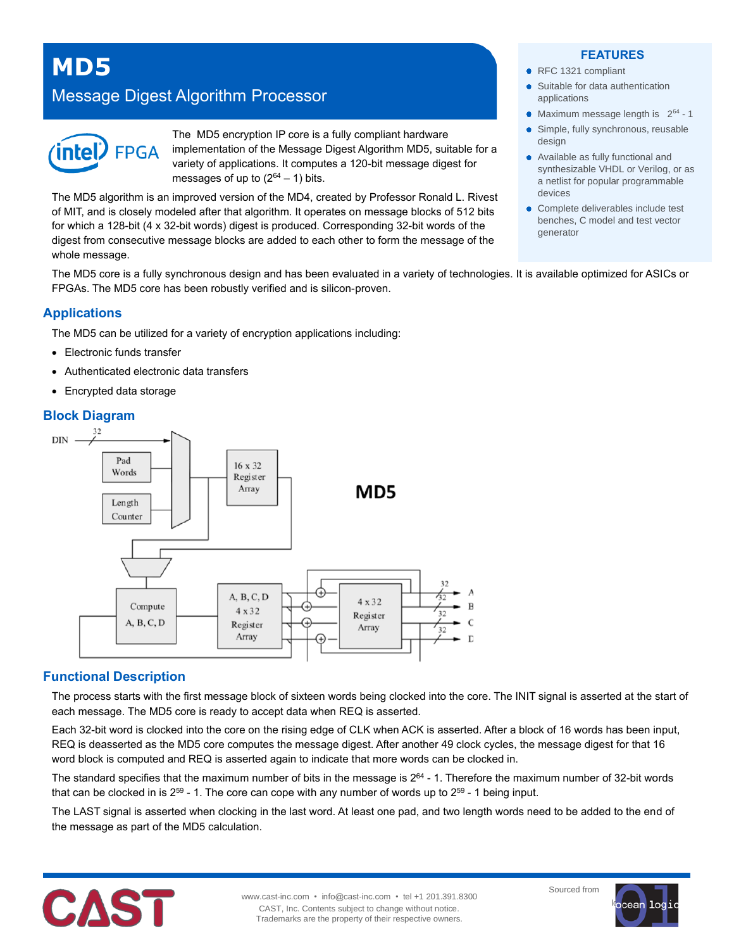**MD5**

# Message Digest Algorithm Processor



The MD5 encryption IP core is a fully compliant hardware implementation of the Message Digest Algorithm MD5, suitable for a variety of applications. It computes a 120-bit message digest for messages of up to  $(2^{64} – 1)$  bits.

The MD5 algorithm is an improved version of the MD4, created by Professor Ronald L. Rivest of MIT, and is closely modeled after that algorithm. It operates on message blocks of 512 bits for which a 128-bit (4 x 32-bit words) digest is produced. Corresponding 32-bit words of the digest from consecutive message blocks are added to each other to form the message of the whole message.

The MD5 core is a fully synchronous design and has been evaluated in a variety of technologies. It is available optimized for ASICs or FPGAs. The MD5 core has been robustly verified and is silicon-proven.

## **Applications**

The MD5 can be utilized for a variety of encryption applications including:

- Electronic funds transfer
- Authenticated electronic data transfers
- Encrypted data storage

## **Block Diagram**



# **Functional Description**

The process starts with the first message block of sixteen words being clocked into the core. The INIT signal is asserted at the start of each message. The MD5 core is ready to accept data when REQ is asserted.

Each 32-bit word is clocked into the core on the rising edge of CLK when ACK is asserted. After a block of 16 words has been input, REQ is deasserted as the MD5 core computes the message digest. After another 49 clock cycles, the message digest for that 16 word block is computed and REQ is asserted again to indicate that more words can be clocked in.

The standard specifies that the maximum number of bits in the message is  $2^{64}$  - 1. Therefore the maximum number of 32-bit words that can be clocked in is 2<sup>59</sup> - 1. The core can cope with any number of words up to 2<sup>59</sup> - 1 being input.

The LAST signal is asserted when clocking in the last word. At least one pad, and two length words need to be added to the end of the message as part of the MD5 calculation.



#### **FEATURES**

- RFC 1321 compliant
- Suitable for data authentication applications
- ۰ Maximum message length is  $2^{64} - 1$
- ä Simple, fully synchronous, reusable design
- Available as fully functional and synthesizable VHDL or Verilog, or as a netlist for popular programmable devices
- ۰ Complete deliverables include test benches, C model and test vector generator